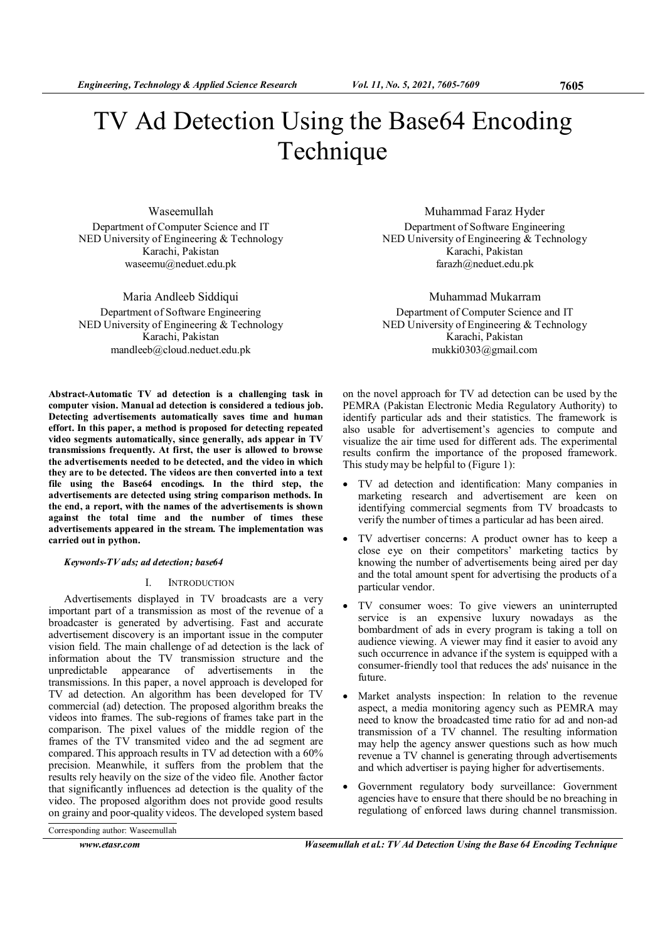# TV Ad Detection Using the Base64 Encoding Technique

Waseemullah Department of Computer Science and IT NED University of Engineering & Technology Karachi, Pakistan waseemu@neduet.edu.pk

Maria Andleeb Siddiqui Department of Software Engineering NED University of Engineering & Technology Karachi, Pakistan mandleeb@cloud.neduet.edu.pk

Abstract-Automatic TV ad detection is a challenging task in computer vision. Manual ad detection is considered a tedious job. Detecting advertisements automatically saves time and human effort. In this paper, a method is proposed for detecting repeated video segments automatically, since generally, ads appear in TV transmissions frequently. At first, the user is allowed to browse the advertisements needed to be detected, and the video in which they are to be detected. The videos are then converted into a text file using the Base64 encodings. In the third step, the advertisements are detected using string comparison methods. In the end, a report, with the names of the advertisements is shown against the total time and the number of times these advertisements appeared in the stream. The implementation was carried out in python.

## Keywords-TV ads; ad detection; base64

# I. INTRODUCTION

Advertisements displayed in TV broadcasts are a very important part of a transmission as most of the revenue of a broadcaster is generated by advertising. Fast and accurate advertisement discovery is an important issue in the computer vision field. The main challenge of ad detection is the lack of information about the TV transmission structure and the unpredictable appearance of advertisements in the transmissions. In this paper, a novel approach is developed for TV ad detection. An algorithm has been developed for TV commercial (ad) detection. The proposed algorithm breaks the videos into frames. The sub-regions of frames take part in the comparison. The pixel values of the middle region of the frames of the TV transmited video and the ad segment are compared. This approach results in TV ad detection with a 60% precision. Meanwhile, it suffers from the problem that the results rely heavily on the size of the video file. Another factor that significantly influences ad detection is the quality of the video. The proposed algorithm does not provide good results on grainy and poor-quality videos. The developed system based

Muhammad Faraz Hyder Department of Software Engineering NED University of Engineering & Technology Karachi, Pakistan farazh@neduet.edu.pk

Muhammad Mukarram Department of Computer Science and IT NED University of Engineering & Technology Karachi, Pakistan mukki0303@gmail.com

on the novel approach for TV ad detection can be used by the PEMRA (Pakistan Electronic Media Regulatory Authority) to identify particular ads and their statistics. The framework is also usable for advertisement's agencies to compute and visualize the air time used for different ads. The experimental results confirm the importance of the proposed framework. This study may be helpful to (Figure 1):

- TV ad detection and identification: Many companies in marketing research and advertisement are keen on identifying commercial segments from TV broadcasts to verify the number of times a particular ad has been aired.
- TV advertiser concerns: A product owner has to keep a close eye on their competitors' marketing tactics by knowing the number of advertisements being aired per day and the total amount spent for advertising the products of a particular vendor.
- TV consumer woes: To give viewers an uninterrupted service is an expensive luxury nowadays as the bombardment of ads in every program is taking a toll on audience viewing. A viewer may find it easier to avoid any such occurrence in advance if the system is equipped with a consumer-friendly tool that reduces the ads' nuisance in the future.
- Market analysts inspection: In relation to the revenue aspect, a media monitoring agency such as PEMRA may need to know the broadcasted time ratio for ad and non-ad transmission of a TV channel. The resulting information may help the agency answer questions such as how much revenue a TV channel is generating through advertisements and which advertiser is paying higher for advertisements.
- Government regulatory body surveillance: Government agencies have to ensure that there should be no breaching in regulationg of enforced laws during channel transmission.

Corresponding author: Waseemullah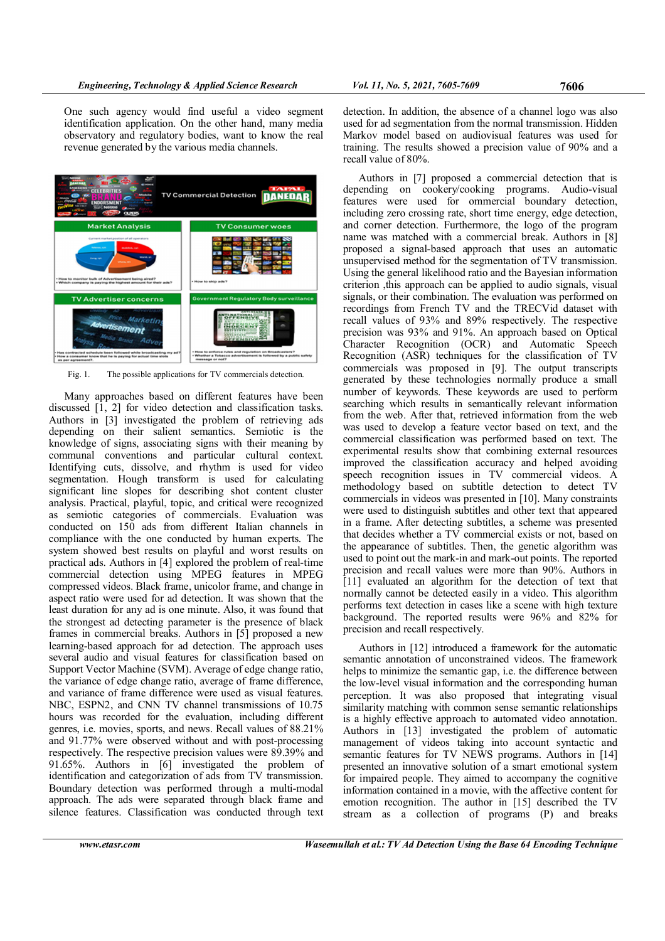One such agency would find useful a video segment identification application. On the other hand, many media observatory and regulatory bodies, want to know the real revenue generated by the various media channels.



Fig. 1. The possible applications for TV commercials detection.

Many approaches based on different features have been discussed [1, 2] for video detection and classification tasks. Authors in [3] investigated the problem of retrieving ads depending on their salient semantics. Semiotic is the knowledge of signs, associating signs with their meaning by communal conventions and particular cultural context. Identifying cuts, dissolve, and rhythm is used for video segmentation. Hough transform is used for calculating significant line slopes for describing shot content cluster analysis. Practical, playful, topic, and critical were recognized as semiotic categories of commercials. Evaluation was conducted on 150 ads from different Italian channels in compliance with the one conducted by human experts. The system showed best results on playful and worst results on practical ads. Authors in [4] explored the problem of real-time commercial detection using MPEG features in MPEG compressed videos. Black frame, unicolor frame, and change in aspect ratio were used for ad detection. It was shown that the least duration for any ad is one minute. Also, it was found that the strongest ad detecting parameter is the presence of black frames in commercial breaks. Authors in [5] proposed a new learning-based approach for ad detection. The approach uses several audio and visual features for classification based on Support Vector Machine (SVM). Average of edge change ratio, the variance of edge change ratio, average of frame difference, and variance of frame difference were used as visual features. NBC, ESPN2, and CNN TV channel transmissions of 10.75 hours was recorded for the evaluation, including different genres, i.e. movies, sports, and news. Recall values of 88.21% and 91.77% were observed without and with post-processing respectively. The respective precision values were 89.39% and 91.65%. Authors in [6] investigated the problem of identification and categorization of ads from TV transmission. Boundary detection was performed through a multi-modal approach. The ads were separated through black frame and silence features. Classification was conducted through text detection. In addition, the absence of a channel logo was also used for ad segmentation from the normal transmission. Hidden Markov model based on audiovisual features was used for training. The results showed a precision value of 90% and a recall value of 80%.

Authors in [7] proposed a commercial detection that is depending on cookery/cooking programs. Audio-visual features were used for ommercial boundary detection, including zero crossing rate, short time energy, edge detection, and corner detection. Furthermore, the logo of the program name was matched with a commercial break. Authors in [8] proposed a signal-based approach that uses an automatic unsupervised method for the segmentation of TV transmission. Using the general likelihood ratio and the Bayesian information criterion ,this approach can be applied to audio signals, visual signals, or their combination. The evaluation was performed on recordings from French TV and the TRECVid dataset with recall values of 93% and 89% respectively. The respective precision was 93% and 91%. An approach based on Optical Character Recognition (OCR) and Automatic Speech Recognition (ASR) techniques for the classification of TV commercials was proposed in [9]. The output transcripts generated by these technologies normally produce a small number of keywords. These keywords are used to perform searching which results in semantically relevant information from the web. After that, retrieved information from the web was used to develop a feature vector based on text, and the commercial classification was performed based on text. The experimental results show that combining external resources improved the classification accuracy and helped avoiding speech recognition issues in TV commercial videos. A methodology based on subtitle detection to detect TV commercials in videos was presented in [10]. Many constraints were used to distinguish subtitles and other text that appeared in a frame. After detecting subtitles, a scheme was presented that decides whether a TV commercial exists or not, based on the appearance of subtitles. Then, the genetic algorithm was used to point out the mark-in and mark-out points. The reported precision and recall values were more than 90%. Authors in [11] evaluated an algorithm for the detection of text that normally cannot be detected easily in a video. This algorithm performs text detection in cases like a scene with high texture background. The reported results were 96% and 82% for precision and recall respectively.

Authors in [12] introduced a framework for the automatic semantic annotation of unconstrained videos. The framework helps to minimize the semantic gap, i.e. the difference between the low-level visual information and the corresponding human perception. It was also proposed that integrating visual similarity matching with common sense semantic relationships is a highly effective approach to automated video annotation. Authors in [13] investigated the problem of automatic management of videos taking into account syntactic and semantic features for TV NEWS programs. Authors in [14] presented an innovative solution of a smart emotional system for impaired people. They aimed to accompany the cognitive information contained in a movie, with the affective content for emotion recognition. The author in [15] described the TV stream as a collection of programs (P) and breaks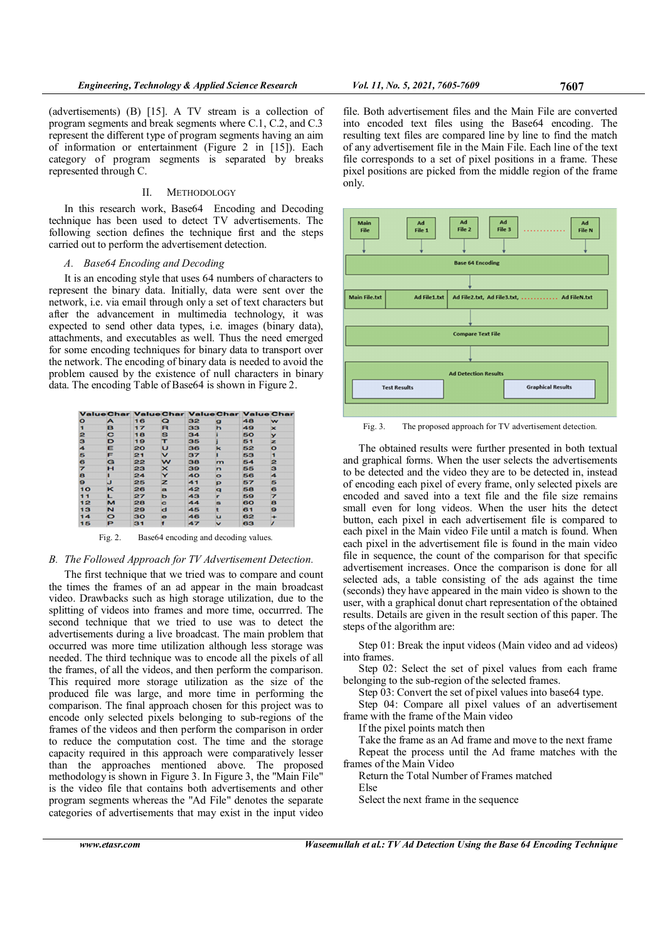(advertisements) (B) [15]. A TV stream is a collection of program segments and break segments where C.1, C.2, and C.3 represent the different type of program segments having an aim of information or entertainment (Figure 2 in [15]). Each category of program segments is separated by breaks represented through C.

## II. METHODOLOGY

In this research work, Base64 Encoding and Decoding technique has been used to detect TV advertisements. The following section defines the technique first and the steps carried out to perform the advertisement detection.

# A. Base64 Encoding and Decoding

It is an encoding style that uses 64 numbers of characters to represent the binary data. Initially, data were sent over the network, i.e. via email through only a set of text characters but after the advancement in multimedia technology, it was expected to send other data types, i.e. images (binary data), attachments, and executables as well. Thus the need emerged for some encoding techniques for binary data to transport over the network. The encoding of binary data is needed to avoid the problem caused by the existence of null characters in binary data. The encoding Table of Base64 is shown in Figure 2.

|         |         |    |             | Value Char Value Char Value Char Value Char |              |    |             |
|---------|---------|----|-------------|---------------------------------------------|--------------|----|-------------|
| $\circ$ | A       | 16 | Q           | 32                                          | Ω            | 48 | w           |
| 1       | в       | 17 | R           | 33                                          | h            | 49 | $\mathbf x$ |
| 2       | C       | 18 | S           | 34                                          |              | 50 | v           |
| з       | D       | 19 | т           | 35                                          |              | 51 | z           |
| 4       | Е       | 20 | U           | 36                                          | ĸ            | 52 | $\bullet$   |
| Б       | F       | 21 | v           | 37                                          |              | 53 | п           |
| 6       | G       | 22 | w           | 38                                          | $\mathbf{m}$ | 54 | 2           |
| 7       | н       | 23 | $\mathbf x$ | 39                                          | n            | 55 | з           |
| 8       |         | 24 | Y           | 40                                          | $\bullet$    | 56 | 4           |
| 9       | u       | 25 | z           | 41                                          | Þ            | 57 | 5           |
| 10      | κ       | 26 | a           | 42                                          | a            | 58 | 6           |
| 11      | ட       | 27 | ь           | 43                                          | г            | 59 | 7           |
| 12      | м       | 28 | c           | 44                                          | a            | 60 | 8           |
| 13      | N       | 29 | d           | 45                                          |              | 61 | 9           |
| 14      | $\circ$ | 30 | $\bullet$   | 46                                          | u            | 62 | ۰           |
| 15      | P       | 31 |             | 47                                          | v            | 63 |             |

Fig. 2. Base64 encoding and decoding values.

# B. The Followed Approach for TV Advertisement Detection.

The first technique that we tried was to compare and count the times the frames of an ad appear in the main broadcast video. Drawbacks such as high storage utilization, due to the splitting of videos into frames and more time, occurrred. The second technique that we tried to use was to detect the advertisements during a live broadcast. The main problem that occurred was more time utilization although less storage was needed. The third technique was to encode all the pixels of all the frames, of all the videos, and then perform the comparison. This required more storage utilization as the size of the produced file was large, and more time in performing the comparison. The final approach chosen for this project was to encode only selected pixels belonging to sub-regions of the frames of the videos and then perform the comparison in order to reduce the computation cost. The time and the storage capacity required in this approach were comparatively lesser than the approaches mentioned above. The proposed methodology is shown in Figure 3. In Figure 3, the "Main File" is the video file that contains both advertisements and other program segments whereas the "Ad File" denotes the separate categories of advertisements that may exist in the input video

file. Both advertisement files and the Main File are converted into encoded text files using the Base64 encoding. The resulting text files are compared line by line to find the match of any advertisement file in the Main File. Each line of the text file corresponds to a set of pixel positions in a frame. These pixel positions are picked from the middle region of the frame only.



Fig. 3. The proposed approach for TV advertisement detection.

The obtained results were further presented in both textual and graphical forms. When the user selects the advertisements to be detected and the video they are to be detected in, instead of encoding each pixel of every frame, only selected pixels are encoded and saved into a text file and the file size remains small even for long videos. When the user hits the detect button, each pixel in each advertisement file is compared to each pixel in the Main video File until a match is found. When each pixel in the advertisement file is found in the main video file in sequence, the count of the comparison for that specific advertisement increases. Once the comparison is done for all selected ads, a table consisting of the ads against the time (seconds) they have appeared in the main video is shown to the user, with a graphical donut chart representation of the obtained results. Details are given in the result section of this paper. The steps of the algorithm are:

Step 01: Break the input videos (Main video and ad videos) into frames.

Step 02: Select the set of pixel values from each frame belonging to the sub-region of the selected frames.

Step 03: Convert the set of pixel values into base64 type.

Step 04: Compare all pixel values of an advertisement frame with the frame of the Main video

If the pixel points match then

Take the frame as an Ad frame and move to the next frame

Repeat the process until the Ad frame matches with the frames of the Main Video

Return the Total Number of Frames matched

Else

Select the next frame in the sequence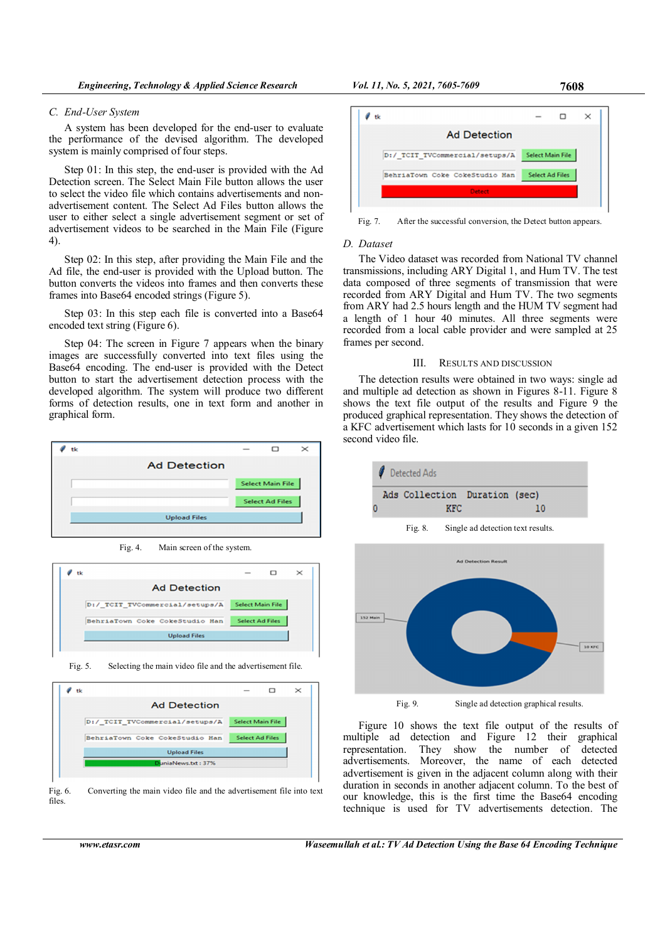#### C. End-User System

A system has been developed for the end-user to evaluate the performance of the devised algorithm. The developed system is mainly comprised of four steps.

Step 01: In this step, the end-user is provided with the Ad Detection screen. The Select Main File button allows the user to select the video file which contains advertisements and nonadvertisement content. The Select Ad Files button allows the user to either select a single advertisement segment or set of advertisement videos to be searched in the Main File (Figure 4).

Step 02: In this step, after providing the Main File and the Ad file, the end-user is provided with the Upload button. The button converts the videos into frames and then converts these frames into Base64 encoded strings (Figure 5).

Step 03: In this step each file is converted into a Base 64 encoded text string (Figure 6).

Step 04: The screen in Figure 7 appears when the binary images are successfully converted into text files using the Base64 encoding. The end-user is provided with the Detect button to start the advertisement detection process with the developed algorithm. The system will produce two different forms of detection results, one in text form and another in graphical form.



Fig. 4. Main screen of the system.



Fig. 5. Selecting the main video file and the advertisement file.







Fig. 7. After the successful conversion, the Detect button appears.

## D. Dataset

The Video dataset was recorded from National TV channel transmissions, including ARY Digital 1, and Hum TV. The test data composed of three segments of transmission that were recorded from ARY Digital and Hum TV. The two segments from ARY had 2.5 hours length and the HUM TV segment had a length of 1 hour 40 minutes. All three segments were recorded from a local cable provider and were sampled at 25 frames per second.

### III. RESULTS AND DISCUSSION

The detection results were obtained in two ways: single ad and multiple ad detection as shown in Figures 8-11. Figure 8 shows the text file output of the results and Figure 9 the produced graphical representation. They shows the detection of a KFC advertisement which lasts for 10 seconds in a given 152 second video file.



Figure 10 shows the text file output of the results of multiple ad detection and Figure 12 their graphical representation. They show the number of detected advertisements. Moreover, the name of each detected advertisement is given in the adjacent column along with their duration in seconds in another adjacent column. To the best of our knowledge, this is the first time the Base64 encoding technique is used for TV advertisements detection. The